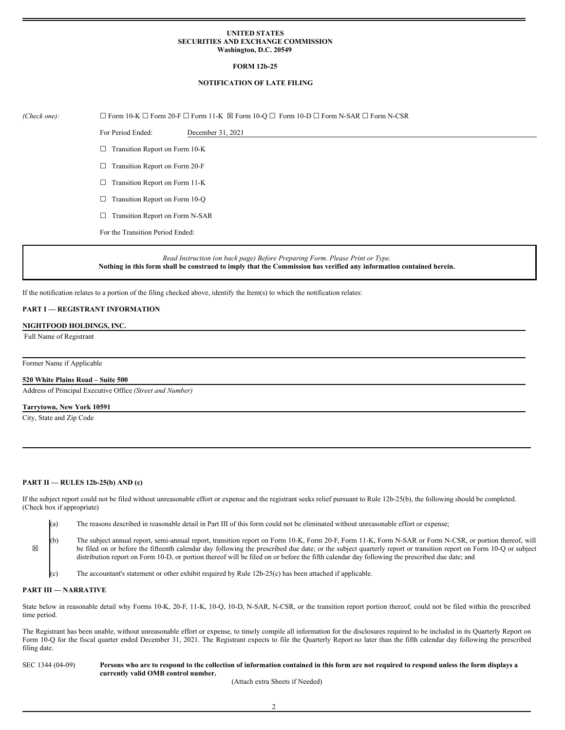#### **UNITED STATES SECURITIES AND EXCHANGE COMMISSION Washington, D.C. 20549**

## **FORM 12b-25**

## **NOTIFICATION OF LATE FILING**

# *(Check one):* ☐ Form 10-K ☐ Form 20-F ☐ Form 11-K ☒ Form 10-Q ☐ Form 10-D ☐ Form N-SAR ☐ Form N-CSR

For Period Ended: December 31, 2021

□ Transition Report on Form 10-K

☐ Transition Report on Form 20-F

☐ Transition Report on Form 11-K

□ Transition Report on Form 10-Q

□ Transition Report on Form N-SAR

For the Transition Period Ended:

*Read Instruction (on back page) Before Preparing Form. Please Print or Type.* Nothing in this form shall be construed to imply that the Commission has verified any information contained herein.

If the notification relates to a portion of the filing checked above, identify the Item(s) to which the notification relates:

# **PART I — REGISTRANT INFORMATION**

**NIGHTFOOD HOLDINGS, INC.**

Full Name of Registrant

Former Name if Applicable

# **520 White Plains Road – Suite 500**

Address of Principal Executive Office *(Street and Number)*

# **Tarrytown, New York 10591**

City, State and Zip Code

#### **PART II — RULES 12b-25(b) AND (c)**

If the subject report could not be filed without unreasonable effort or expense and the registrant seeks relief pursuant to Rule 12b-25(b), the following should be completed. (Check box if appropriate)

(a) The reasons described in reasonable detail in Part III of this form could not be eliminated without unreasonable effort or expense;

(b) The subject annual report, semi-annual report, transition report on Form 10-K, Form 20-F, Form 11-K, Form N-SAR or Form N-CSR, or portion thereof, will be filed on or before the fifteenth calendar day following the prescribed due date; or the subject quarterly report or transition report on Form 10-Q or subject distribution report on Form 10-D, or portion thereof will be filed on or before the fifth calendar day following the prescribed due date; and

The accountant's statement or other exhibit required by Rule  $12b-25(c)$  has been attached if applicable.

## **PART III — NARRATIVE**

☒

State below in reasonable detail why Forms 10-K, 20-F, 11-K, 10-Q, 10-D, N-SAR, N-CSR, or the transition report portion thereof, could not be filed within the prescribed time period.

The Registrant has been unable, without unreasonable effort or expense, to timely compile all information for the disclosures required to be included in its Quarterly Report on Form 10-Q for the fiscal quarter ended December 31, 2021. The Registrant expects to file the Quarterly Report no later than the fifth calendar day following the prescribed filing date.

## SEC 1344 (04-09) Persons who are to respond to the collection of information contained in this form are not required to respond unless the form displays a **currently valid OMB control number.**

(Attach extra Sheets if Needed)